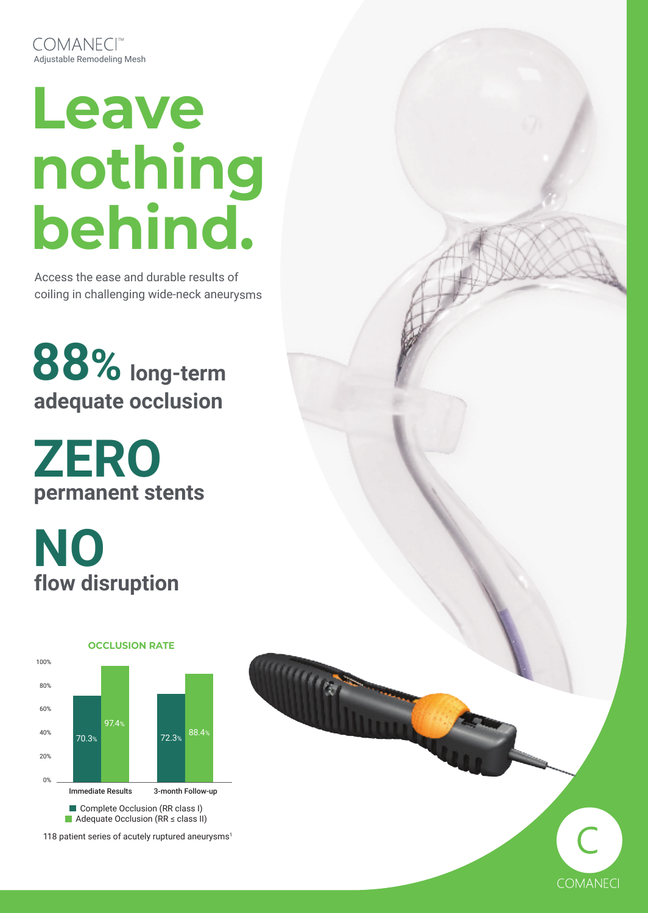# **Leave nothing behind.**

Access the ease and durable results of coiling in challenging wide-neck aneurysms

# **88% long-term adequate occlusion**

**ZERO permanent stents**

**NO flow disruption**



118 patient series of acutely ruptured aneurysms<sup>1</sup>

 $\overline{C}$ 

**COMANECI**